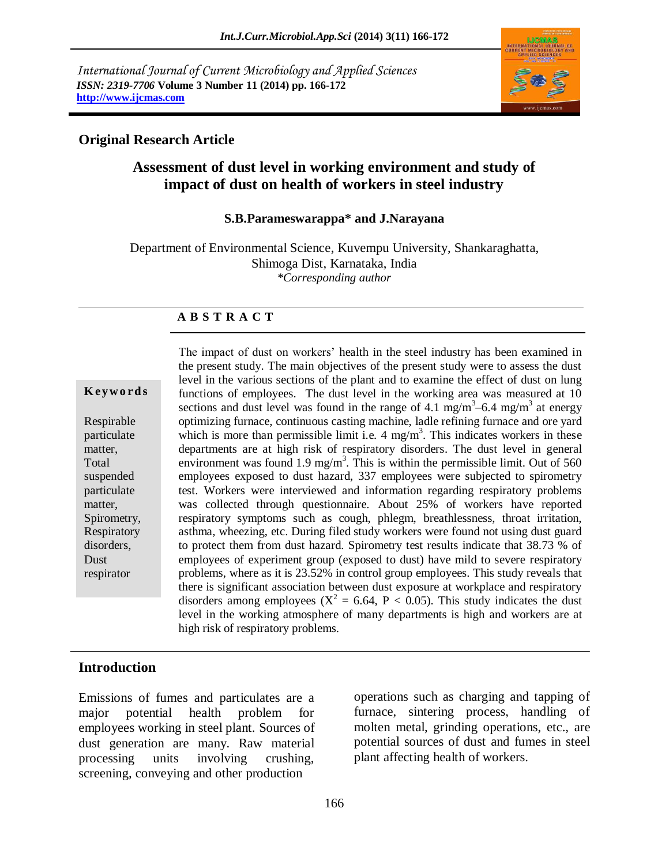*International Journal of Current Microbiology and Applied Sciences ISSN: 2319-7706* **Volume 3 Number 11 (2014) pp. 166-172 http://www.ijcmas.com**



## **Original Research Article**

# **Assessment of dust level in working environment and study of impact of dust on health of workers in steel industry**

#### **S.B.Parameswarappa\* and J.Narayana**

Department of Environmental Science, Kuvempu University, Shankaraghatta, Shimoga Dist, Karnataka, India *\*Corresponding author*

#### **A B S T R A C T**

#### **K ey w o rd s**

Respirable particulate matter, Total suspended particulate matter, Spirometry, **Respiratory** disorders, Dust respirator

The impact of dust on workers' health in the steel industry has been examined in the present study. The main objectives of the present study were to assess the dust level in the various sections of the plant and to examine the effect of dust on lung functions of employees. The dust level in the working area was measured at 10 sections and dust level was found in the range of 4.1 mg/m<sup>3</sup> $-6.4$  mg/m<sup>3</sup> at energy optimizing furnace, continuous casting machine, ladle refining furnace and ore yard which is more than permissible limit i.e.  $4 \text{ mg/m}^3$ . This indicates workers in these departments are at high risk of respiratory disorders. The dust level in general environment was found 1.9 mg/m<sup>3</sup>. This is within the permissible limit. Out of 560 employees exposed to dust hazard, 337 employees were subjected to spirometry test. Workers were interviewed and information regarding respiratory problems was collected through questionnaire. About 25% of workers have reported respiratory symptoms such as cough, phlegm, breathlessness, throat irritation, asthma, wheezing, etc. During filed study workers were found not using dust guard to protect them from dust hazard. Spirometry test results indicate that 38.73 % of employees of experiment group (exposed to dust) have mild to severe respiratory problems, where as it is 23.52% in control group employees. This study reveals that there is significant association between dust exposure at workplace and respiratory disorders among employees ( $X^2 = 6.64$ ,  $P < 0.05$ ). This study indicates the dust level in the working atmosphere of many departments is high and workers are at high risk of respiratory problems.

#### **Introduction**

Emissions of fumes and particulates are a major potential health problem for employees working in steel plant. Sources of dust generation are many. Raw material processing units involving crushing, screening, conveying and other production

operations such as charging and tapping of furnace, sintering process, handling of molten metal, grinding operations, etc., are potential sources of dust and fumes in steel plant affecting health of workers.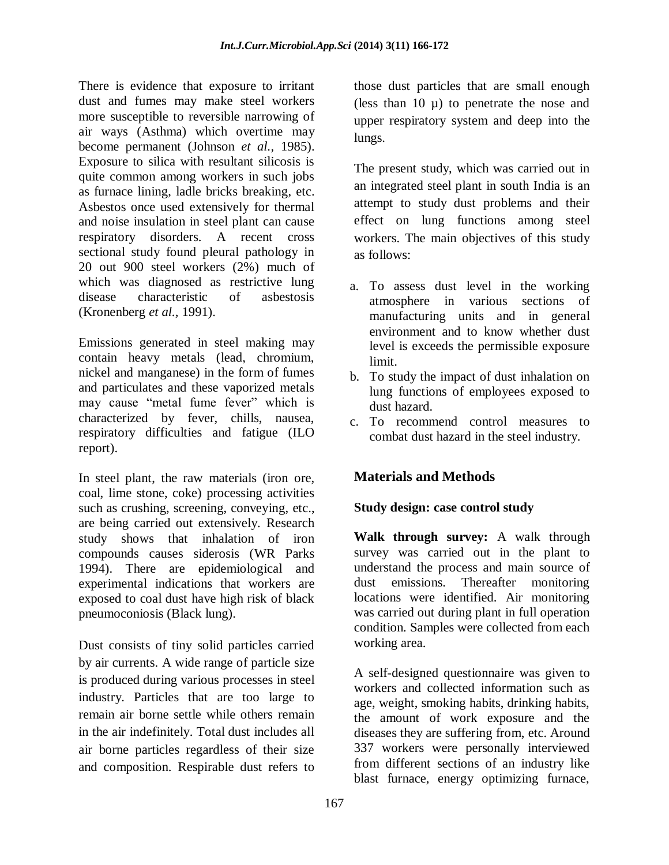There is evidence that exposure to irritant dust and fumes may make steel workers more susceptible to reversible narrowing of air ways (Asthma) which overtime may become permanent (Johnson *et al.,* 1985). Exposure to silica with resultant silicosis is quite common among workers in such jobs as furnace lining, ladle bricks breaking, etc. Asbestos once used extensively for thermal and noise insulation in steel plant can cause respiratory disorders. A recent cross sectional study found pleural pathology in 20 out 900 steel workers (2%) much of which was diagnosed as restrictive lung disease characteristic of asbestosis (Kronenberg *et al.,* 1991).

Emissions generated in steel making may contain heavy metals (lead, chromium, nickel and manganese) in the form of fumes and particulates and these vaporized metals may cause "metal fume fever" which is characterized by fever, chills, nausea, respiratory difficulties and fatigue (ILO report).

In steel plant, the raw materials (iron ore, coal, lime stone, coke) processing activities such as crushing, screening, conveying, etc., are being carried out extensively. Research study shows that inhalation of iron compounds causes siderosis (WR Parks 1994). There are epidemiological and experimental indications that workers are exposed to coal dust have high risk of black pneumoconiosis (Black lung).

Dust consists of tiny solid particles carried by air currents. A wide range of particle size is produced during various processes in steel industry. Particles that are too large to remain air borne settle while others remain in the air indefinitely. Total dust includes all air borne particles regardless of their size and composition. Respirable dust refers to

those dust particles that are small enough (less than 10  $\mu$ ) to penetrate the nose and upper respiratory system and deep into the lungs.

The present study, which was carried out in an integrated steel plant in south India is an attempt to study dust problems and their effect on lung functions among steel workers. The main objectives of this study as follows:

- a. To assess dust level in the working atmosphere in various sections of manufacturing units and in general environment and to know whether dust level is exceeds the permissible exposure limit.
- b. To study the impact of dust inhalation on lung functions of employees exposed to dust hazard.
- c. To recommend control measures to combat dust hazard in the steel industry.

# **Materials and Methods**

## **Study design: case control study**

**Walk through survey:** A walk through survey was carried out in the plant to understand the process and main source of dust emissions. Thereafter monitoring locations were identified. Air monitoring was carried out during plant in full operation condition. Samples were collected from each working area.

A self-designed questionnaire was given to workers and collected information such as age, weight, smoking habits, drinking habits, the amount of work exposure and the diseases they are suffering from, etc. Around 337 workers were personally interviewed from different sections of an industry like blast furnace, energy optimizing furnace,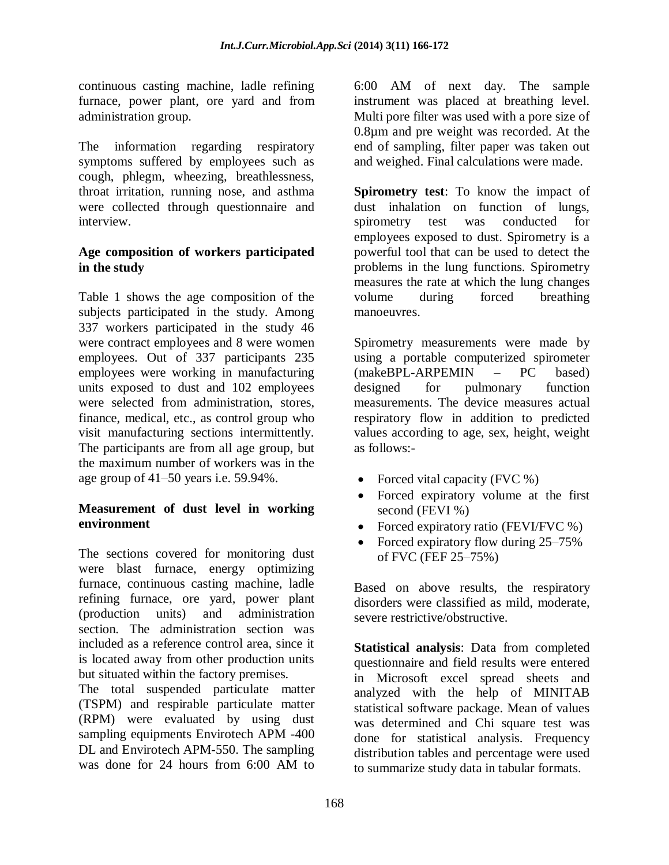continuous casting machine, ladle refining furnace, power plant, ore yard and from administration group.

The information regarding respiratory symptoms suffered by employees such as cough, phlegm, wheezing, breathlessness, throat irritation, running nose, and asthma were collected through questionnaire and interview.

### **Age composition of workers participated in the study**

Table 1 shows the age composition of the subjects participated in the study. Among 337 workers participated in the study 46 were contract employees and 8 were women employees. Out of 337 participants 235 employees were working in manufacturing units exposed to dust and 102 employees were selected from administration, stores, finance, medical, etc., as control group who visit manufacturing sections intermittently. The participants are from all age group, but the maximum number of workers was in the age group of 41–50 years i.e. 59.94%.

### **Measurement of dust level in working environment**

The sections covered for monitoring dust were blast furnace, energy optimizing furnace, continuous casting machine, ladle refining furnace, ore yard, power plant (production units) and administration section. The administration section was included as a reference control area, since it is located away from other production units but situated within the factory premises.

The total suspended particulate matter (TSPM) and respirable particulate matter (RPM) were evaluated by using dust sampling equipments Envirotech APM -400 DL and Envirotech APM-550. The sampling was done for 24 hours from 6:00 AM to

6:00 AM of next day. The sample instrument was placed at breathing level. Multi pore filter was used with a pore size of 0.8µm and pre weight was recorded. At the end of sampling, filter paper was taken out and weighed. Final calculations were made.

**Spirometry test**: To know the impact of dust inhalation on function of lungs, spirometry test was conducted for employees exposed to dust. Spirometry is a powerful tool that can be used to detect the problems in the lung functions. Spirometry measures the rate at which the lung changes volume during forced breathing manoeuvres.

Spirometry measurements were made by using a portable computerized spirometer (makeBPL-ARPEMIN – PC based) designed for pulmonary function measurements. The device measures actual respiratory flow in addition to predicted values according to age, sex, height, weight as follows:-

- Forced vital capacity (FVC %)
- Forced expiratory volume at the first second (FEVI %)
- Forced expiratory ratio (FEVI/FVC %)
- Forced expiratory flow during 25–75% of FVC (FEF 25–75%)

Based on above results, the respiratory disorders were classified as mild, moderate, severe restrictive/obstructive.

**Statistical analysis**: Data from completed questionnaire and field results were entered in Microsoft excel spread sheets and analyzed with the help of MINITAB statistical software package. Mean of values was determined and Chi square test was done for statistical analysis. Frequency distribution tables and percentage were used to summarize study data in tabular formats.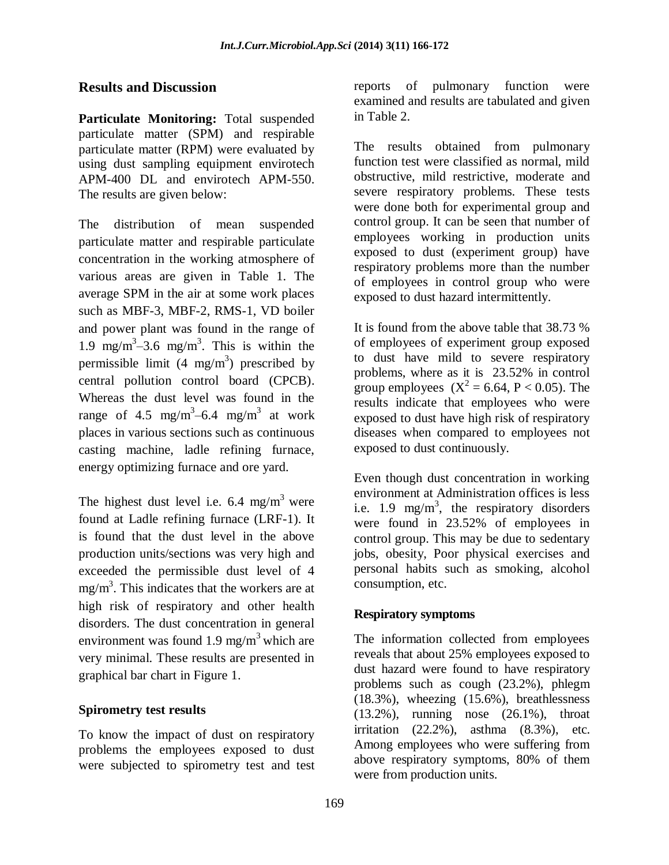## **Results and Discussion**

**Particulate Monitoring:** Total suspended particulate matter (SPM) and respirable particulate matter (RPM) were evaluated by using dust sampling equipment envirotech APM-400 DL and envirotech APM-550. The results are given below:

The distribution of mean suspended particulate matter and respirable particulate concentration in the working atmosphere of various areas are given in Table 1. The average SPM in the air at some work places such as MBF-3, MBF-2, RMS-1, VD boiler and power plant was found in the range of 1.9 mg/m<sup>3</sup> $-3.6$  mg/m<sup>3</sup>. This is within the permissible limit  $(4 \text{ mg/m}^3)$  prescribed by central pollution control board (CPCB). Whereas the dust level was found in the range of 4.5 mg/m<sup>3</sup>-6.4 mg/m<sup>3</sup> at work places in various sections such as continuous casting machine, ladle refining furnace, energy optimizing furnace and ore yard.

The highest dust level i.e.  $6.4 \text{ mg/m}^3$  were found at Ladle refining furnace (LRF-1). It is found that the dust level in the above production units/sections was very high and exceeded the permissible dust level of 4  $mg/m<sup>3</sup>$ . This indicates that the workers are at high risk of respiratory and other health disorders. The dust concentration in general environment was found 1.9 mg/m<sup>3</sup> which are very minimal. These results are presented in graphical bar chart in Figure 1.

### **Spirometry test results**

To know the impact of dust on respiratory problems the employees exposed to dust were subjected to spirometry test and test

reports of pulmonary function were examined and results are tabulated and given in Table 2.

The results obtained from pulmonary function test were classified as normal, mild obstructive, mild restrictive, moderate and severe respiratory problems. These tests were done both for experimental group and control group. It can be seen that number of employees working in production units exposed to dust (experiment group) have respiratory problems more than the number of employees in control group who were exposed to dust hazard intermittently.

It is found from the above table that 38.73 % of employees of experiment group exposed to dust have mild to severe respiratory problems, where as it is 23.52% in control group employees  $(X^2 = 6.64, P < 0.05)$ . The results indicate that employees who were exposed to dust have high risk of respiratory diseases when compared to employees not exposed to dust continuously.

Even though dust concentration in working environment at Administration offices is less i.e. 1.9 mg/m<sup>3</sup>, the respiratory disorders were found in 23.52% of employees in control group. This may be due to sedentary jobs, obesity, Poor physical exercises and personal habits such as smoking, alcohol consumption, etc.

## **Respiratory symptoms**

The information collected from employees reveals that about 25% employees exposed to dust hazard were found to have respiratory problems such as cough (23.2%), phlegm (18.3%), wheezing (15.6%), breathlessness (13.2%), running nose (26.1%), throat irritation  $(22.2\%)$ , asthma  $(8.3\%)$ , etc. Among employees who were suffering from above respiratory symptoms, 80% of them were from production units.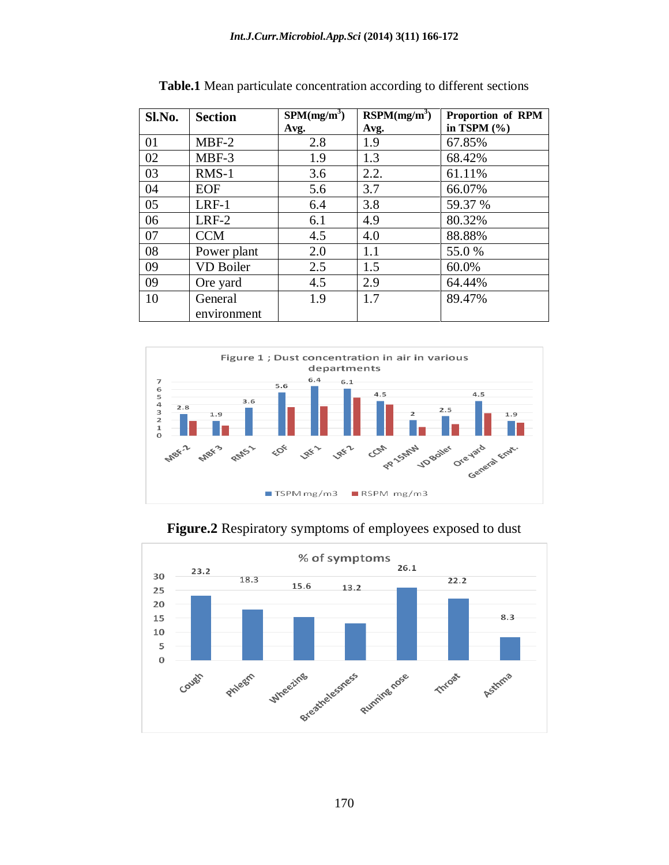| Sl.No. | <b>Section</b>   | SPM(mg/m <sup>3</sup> ) | RSPM(mg/m <sup>3</sup> ) | Proportion of RPM |  |  |
|--------|------------------|-------------------------|--------------------------|-------------------|--|--|
|        |                  | Avg.                    | Avg.                     | in TSPM $(\% )$   |  |  |
| 01     | $MBF-2$          | 2.8                     | 1.9                      | 67.85%            |  |  |
| 02     | MBF-3            | 1.9                     | 1.3                      | 68.42%            |  |  |
| 03     | $RMS-1$          | 3.6                     | 2.2.                     | 61.11%            |  |  |
| 04     | <b>EOF</b>       | 5.6                     | 3.7                      | 66.07%            |  |  |
| 05     | $LRF-1$          | 6.4                     | 3.8                      | 59.37 %           |  |  |
| 06     | $LRF-2$          | 6.1                     | 4.9                      | 80.32%            |  |  |
| 07     | <b>CCM</b>       | 4.5                     | 4.0                      | 88.88%            |  |  |
| 08     | Power plant      | 2.0                     | 1.1                      | 55.0 %            |  |  |
| 09     | <b>VD Boiler</b> | 2.5                     | 1.5                      | 60.0%             |  |  |
| 09     | Ore yard         | 4.5                     | 2.9                      | 64.44%            |  |  |
| 10     | General          | 1.9                     | 1.7                      | 89.47%            |  |  |
|        | environment      |                         |                          |                   |  |  |

**Table.1** Mean particulate concentration according to different sections



**Figure.2** Respiratory symptoms of employees exposed to dust

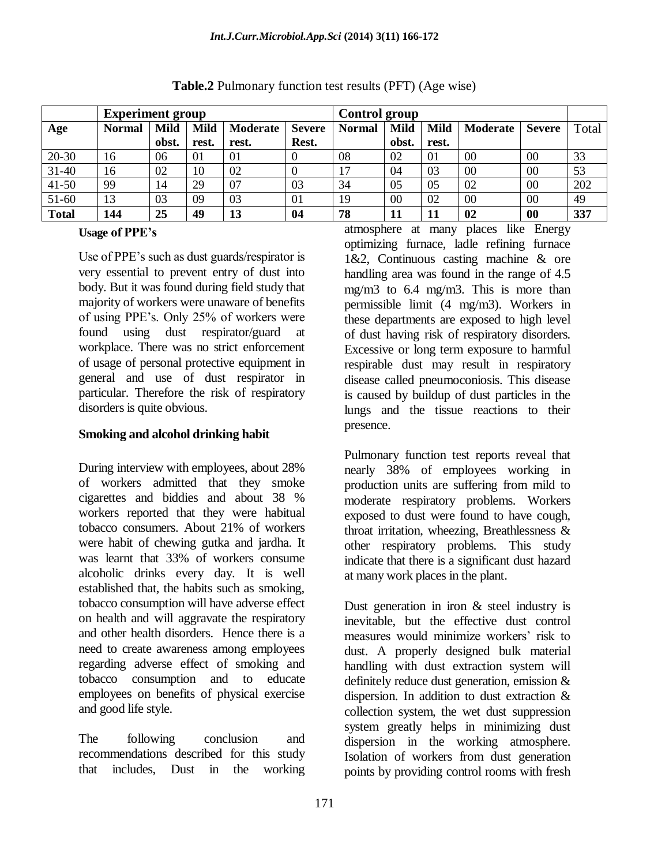|              | <b>Experiment group</b> |             |             |          | <b>Control group</b> |               |             |             |          |               |       |
|--------------|-------------------------|-------------|-------------|----------|----------------------|---------------|-------------|-------------|----------|---------------|-------|
| Age          | <b>Normal</b>           | <b>Mild</b> | <b>Mild</b> | Moderate | <b>Severe</b>        | <b>Normal</b> | <b>Mild</b> | <b>Mild</b> | Moderate | <b>Severe</b> | Total |
|              |                         | obst.       | rest.       | rest.    | Rest.                |               | obst.       | rest.       |          |               |       |
| $20 - 30$    | 16                      | 06          | 01          | 01       | $\theta$             | 08            | 02          | 01          | 00       | 00            | 33    |
| $31 - 40$    | 16                      | 02          | 10          | 02       | $\theta$             | 17            | 04          | 03          | 00       | 00            | 53    |
| $41 - 50$    | 99                      | 14          | 29          | 07       | 03                   | 34            | 05          | 05          | 02       | 00            | 202   |
| $51-60$      | 13                      | 03          | 09          | 03       | 01                   | 19            | 00          | 02          | 00       | 00            | 49    |
| <b>Total</b> | 144                     | 25          | 49          | 13       | 04                   | 78            | 11          | 11          | 02       | 00            | 337   |

**Table.2** Pulmonary function test results (PFT) (Age wise)

#### **Usage of PPE's**

Use of PPE's such as dust guards/respirator is very essential to prevent entry of dust into body. But it was found during field study that majority of workers were unaware of benefits of using PPE's. Only 25% of workers were found using dust respirator/guard at workplace. There was no strict enforcement of usage of personal protective equipment in general and use of dust respirator in particular. Therefore the risk of respiratory disorders is quite obvious.

### **Smoking and alcohol drinking habit**

During interview with employees, about 28% of workers admitted that they smoke cigarettes and biddies and about 38 % workers reported that they were habitual tobacco consumers. About 21% of workers were habit of chewing gutka and jardha. It was learnt that 33% of workers consume alcoholic drinks every day. It is well established that, the habits such as smoking, tobacco consumption will have adverse effect on health and will aggravate the respiratory and other health disorders. Hence there is a need to create awareness among employees regarding adverse effect of smoking and tobacco consumption and to educate employees on benefits of physical exercise and good life style.

The following conclusion and recommendations described for this study that includes, Dust in the working

atmosphere at many places like Energy optimizing furnace, ladle refining furnace 1&2, Continuous casting machine & ore handling area was found in the range of 4.5 mg/m3 to 6.4 mg/m3. This is more than permissible limit (4 mg/m3). Workers in these departments are exposed to high level of dust having risk of respiratory disorders. Excessive or long term exposure to harmful respirable dust may result in respiratory disease called pneumoconiosis. This disease is caused by buildup of dust particles in the lungs and the tissue reactions to their presence.

Pulmonary function test reports reveal that nearly 38% of employees working in production units are suffering from mild to moderate respiratory problems. Workers exposed to dust were found to have cough, throat irritation, wheezing, Breathlessness & other respiratory problems. This study indicate that there is a significant dust hazard at many work places in the plant.

Dust generation in iron & steel industry is inevitable, but the effective dust control measures would minimize workers' risk to dust. A properly designed bulk material handling with dust extraction system will definitely reduce dust generation, emission & dispersion. In addition to dust extraction & collection system, the wet dust suppression system greatly helps in minimizing dust dispersion in the working atmosphere. Isolation of workers from dust generation points by providing control rooms with fresh